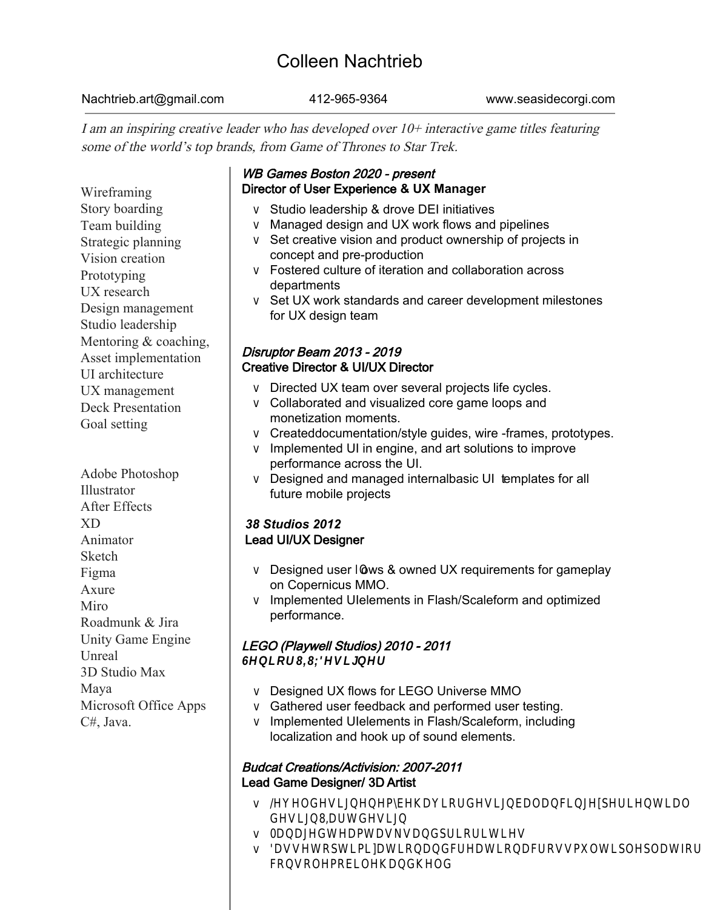# Colleen Nachtrieb

Nachtrieb.art@gmail.com 412-965-9364 www.seasidecorgi.com

I am an inspiring creative leader who has developed over 10+ interactive game titles featuring some of the world's top brands, from Game of Thrones to Star Trek.

**Skills** Wireframing Story boarding Team building Strategic planning Vision creation Prototyping UX research Design management Studio leadership Mentoring & coaching, Asset implementation UI architecture UX management Deck Presentation Goal setting

Software Adobe Photoshop Illustrator After Effects XD Animator **Sketch** Figma Axure Miro Roadmunk & Jira Unity Game Engine Unreal 3D Studio Max Maya Microsoft Office Apps C#, Java.

## WB Games Boston 2020 - present Director of User Experience **& UX Manager**

Studio leadership & drove DEI initiatives Managed design and UX work flows and pipelines Set creative vision and product ownership of projects in concept and pre-production Fostered culture of iteration and collaboration across departments Set UX work standards and career development milestones for UX design team

## Disruptor Beam 2013 - 2019 Creative Director **&** UI/UX Director

Directed UX team over several projects life cycles. Collaborated and visualized core game loops and monetization moments. Created documentation/style guides, wire-frames, prototypes. Implemented UI in engine, and art solutions to improve performance across the UI. Designed and managed internal basic UI templates for all future mobile projects

### *38 Studios 2012* Lead UI/UX Designer

Designed user flows & owned UX requirements for gameplay on Copernicus MMO. Implemented UI elements in Flash/Scaleform and optimized performance.

## LEGO (Playwell Studios) 2010 - 2011

Senior UI/UX Designer

Designed UX flows for LEGO Universe MMO Gathered user feedback and performed user testing. Implemented UI elements in Flash/Scaleform, including localization and hook up of sound elements.

### Budcat Creations/Activision: 2007-2011 Lead Game Designer/ 3D Artist

Level design enemy behavior design/balancing, experiential design, UI art design Managed team tasks and priorities. 3D asset optimization and creation across multiple platforms (console, mobile, handheld)